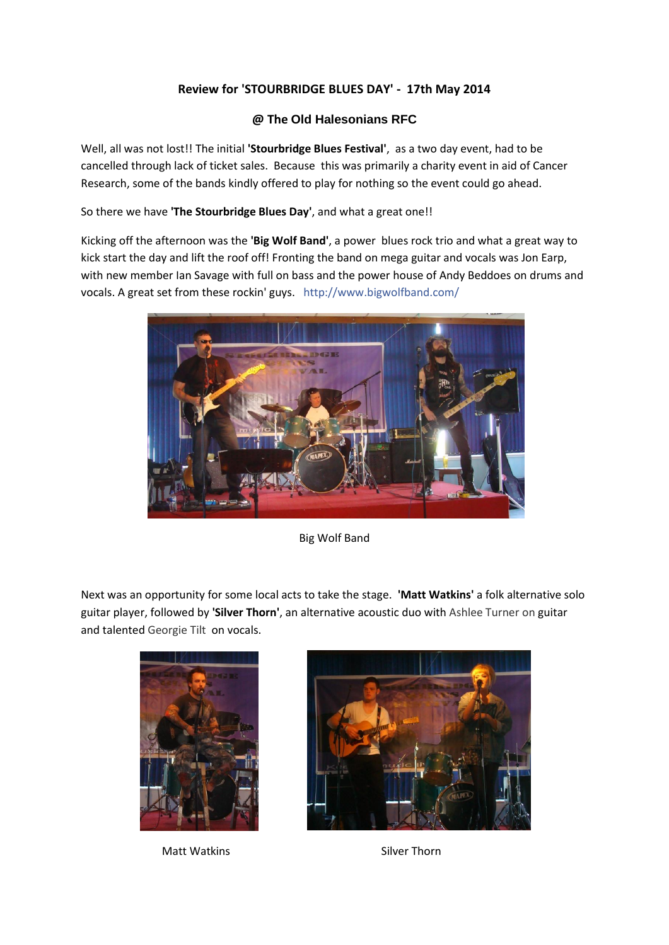## **Review for 'STOURBRIDGE BLUES DAY' - 17th May 2014**

## **@ The Old Halesonians RFC**

Well, all was not lost!! The initial **'Stourbridge Blues Festival'**, as a two day event, had to be cancelled through lack of ticket sales. Because this was primarily a charity event in aid of Cancer Research, some of the bands kindly offered to play for nothing so the event could go ahead.

So there we have **'The Stourbridge Blues Day'**, and what a great one!!

Kicking off the afternoon was the **'Big Wolf Band'**, a power blues rock trio and what a great way to kick start the day and lift the roof off! Fronting the band on mega guitar and vocals was Jon Earp, with new member Ian Savage with full on bass and the power house of Andy Beddoes on drums and vocals. A great set from these rockin' guys. <http://www.bigwolfband.com/>



Big Wolf Band

Next was an opportunity for some local acts to take the stage. **'Matt Watkins'** a folk alternative solo guitar player, followed by **'Silver Thorn'**, an alternative acoustic duo with Ashlee Turner on guitar and talented Georgie Tilt on vocals.



Matt Watkins **Silver Thorn** 

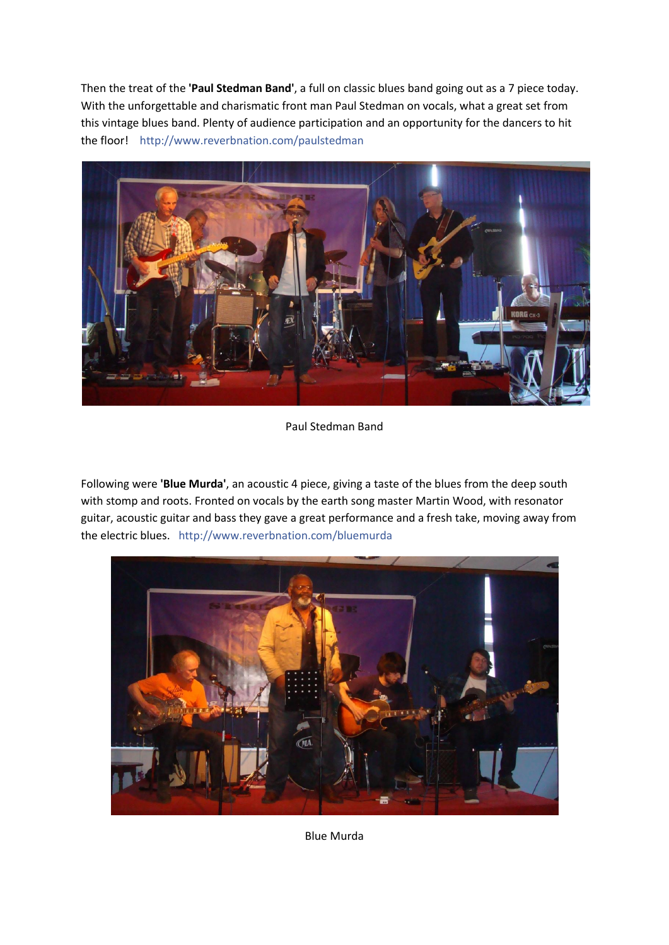Then the treat of the **'Paul Stedman Band'**, a full on classic blues band going out as a 7 piece today. With the unforgettable and charismatic front man Paul Stedman on vocals, what a great set from this vintage blues band. Plenty of audience participation and an opportunity for the dancers to hit the floor! <http://www.reverbnation.com/paulstedman>



Paul Stedman Band

Following were **'Blue Murda'**, an acoustic 4 piece, giving a taste of the blues from the deep south with stomp and roots. Fronted on vocals by the earth song master Martin Wood, with resonator guitar, acoustic guitar and bass they gave a great performance and a fresh take, moving away from the electric blues. <http://www.reverbnation.com/bluemurda>



Blue Murda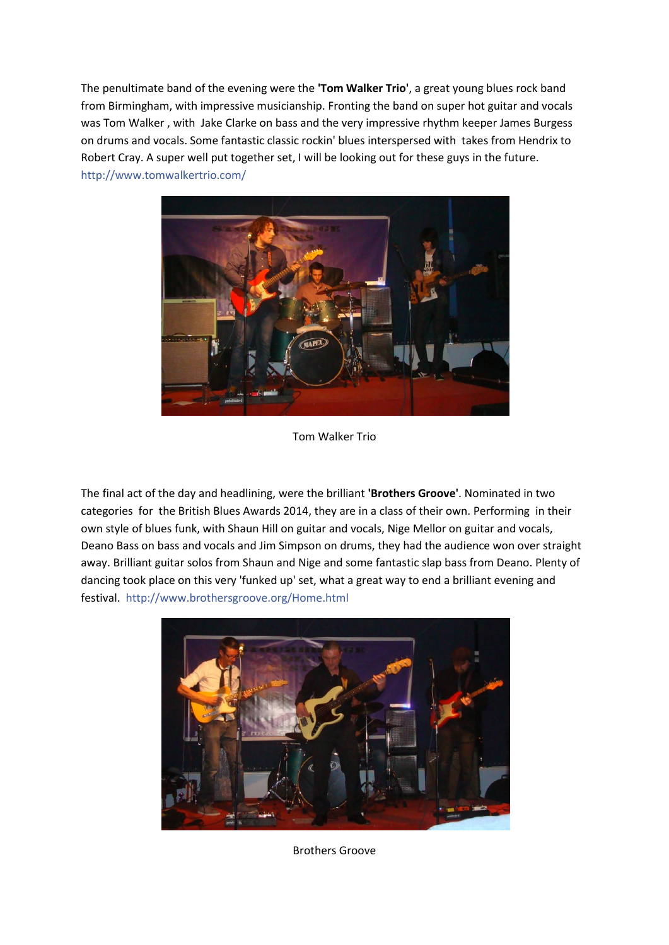The penultimate band of the evening were the **'Tom Walker Trio'**, a great young blues rock band from Birmingham, with impressive musicianship. Fronting the band on super hot guitar and vocals was Tom Walker , with Jake Clarke on bass and the very impressive rhythm keeper James Burgess on drums and vocals. Some fantastic classic rockin' blues interspersed with takes from Hendrix to Robert Cray. A super well put together set, I will be looking out for these guys in the future. <http://www.tomwalkertrio.com/>



Tom Walker Trio

The final act of the day and headlining, were the brilliant **'Brothers Groove'**. Nominated in two categories for the British Blues Awards 2014, they are in a class of their own. Performing in their own style of blues funk, with Shaun Hill on guitar and vocals, Nige Mellor on guitar and vocals, Deano Bass on bass and vocals and Jim Simpson on drums, they had the audience won over straight away. Brilliant guitar solos from Shaun and Nige and some fantastic slap bass from Deano. Plenty of dancing took place on this very 'funked up' set, what a great way to end a brilliant evening and festival. <http://www.brothersgroove.org/Home.html>



Brothers Groove